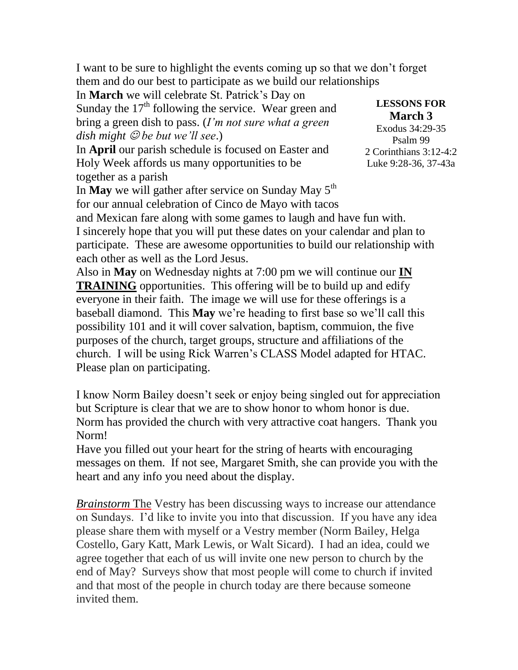I want to be sure to highlight the events coming up so that we don't forget them and do our best to participate as we build our relationships

In **March** we will celebrate St. Patrick's Day on

Sunday the  $17<sup>th</sup>$  following the service. Wear green and bring a green dish to pass. (*I'm not sure what a green dish might be but we'll see*.)

In **April** our parish schedule is focused on Easter and Holy Week affords us many opportunities to be together as a parish

**LESSONS FOR March 3**

[Exodus 34:29-35](http://www.lectionarypage.net/YearC_RCL/Epiphany/CEpiLast_RCL.html#ot1) [Psalm 99](http://www.lectionarypage.net/YearC_RCL/Epiphany/CEpiLast_RCL.html#ps1) [2 Corinthians 3:12-4:2](http://www.lectionarypage.net/YearC_RCL/Epiphany/CEpiLast_RCL.html#nt1) [Luke 9:28-36, 37-43a](http://www.lectionarypage.net/YearC_RCL/Epiphany/CEpiLast_RCL.html#gsp1)

In May we will gather after service on Sunday May 5<sup>th</sup> for our annual celebration of Cinco de Mayo with tacos and Mexican fare along with some games to laugh and have fun with. I sincerely hope that you will put these dates on your calendar and plan to

participate. These are awesome opportunities to build our relationship with each other as well as the Lord Jesus.

Also in **May** on Wednesday nights at 7:00 pm we will continue our **IN TRAINING** opportunities. This offering will be to build up and edify everyone in their faith. The image we will use for these offerings is a baseball diamond. This **May** we're heading to first base so we'll call this possibility 101 and it will cover salvation, baptism, commuion, the five purposes of the church, target groups, structure and affiliations of the church. I will be using Rick Warren's CLASS Model adapted for HTAC. Please plan on participating.

I know Norm Bailey doesn't seek or enjoy being singled out for appreciation but Scripture is clear that we are to show honor to whom honor is due. Norm has provided the church with very attractive coat hangers. Thank you Norm!

Have you filled out your heart for the string of hearts with encouraging messages on them. If not see, Margaret Smith, she can provide you with the heart and any info you need about the display.

*Brainstorm* The Vestry has been discussing ways to increase our attendance on Sundays. I'd like to invite you into that discussion. If you have any idea please share them with myself or a Vestry member (Norm Bailey, Helga Costello, Gary Katt, Mark Lewis, or Walt Sicard). I had an idea, could we agree together that each of us will invite one new person to church by the end of May? Surveys show that most people will come to church if invited and that most of the people in church today are there because someone invited them.